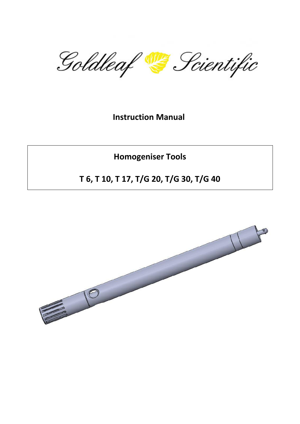Goldleaf & Scientific

**Instruction Manual**

**Homogeniser Tools** 

# **T 6, T 10, T 17, T/G 20, T/G 30, T/G 40**

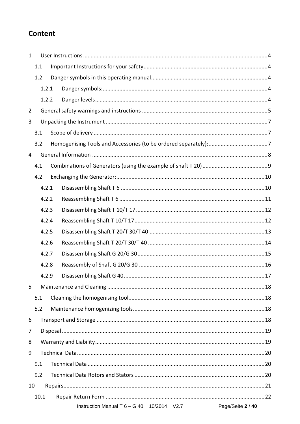# **Content**

| $\mathbf{1}$   |       |       |  |                                                                   |  |  |  |
|----------------|-------|-------|--|-------------------------------------------------------------------|--|--|--|
|                | 1.1   |       |  |                                                                   |  |  |  |
|                |       | 1.2   |  |                                                                   |  |  |  |
|                | 1.2.1 |       |  |                                                                   |  |  |  |
|                |       | 1.2.2 |  |                                                                   |  |  |  |
| $\overline{2}$ |       |       |  |                                                                   |  |  |  |
| 3              |       |       |  |                                                                   |  |  |  |
|                | 3.1   |       |  |                                                                   |  |  |  |
|                | 3.2   |       |  |                                                                   |  |  |  |
| 4              |       |       |  |                                                                   |  |  |  |
|                | 4.1   |       |  |                                                                   |  |  |  |
|                | 4.2   |       |  |                                                                   |  |  |  |
|                |       | 4.2.1 |  |                                                                   |  |  |  |
|                |       | 4.2.2 |  |                                                                   |  |  |  |
|                |       | 4.2.3 |  |                                                                   |  |  |  |
|                |       | 4.2.4 |  |                                                                   |  |  |  |
|                |       | 4.2.5 |  |                                                                   |  |  |  |
|                |       | 4.2.6 |  |                                                                   |  |  |  |
|                |       | 4.2.7 |  |                                                                   |  |  |  |
|                |       | 4.2.8 |  |                                                                   |  |  |  |
|                |       | 4.2.9 |  |                                                                   |  |  |  |
| 5              |       |       |  |                                                                   |  |  |  |
|                | 5.1   |       |  |                                                                   |  |  |  |
|                | 5.2   |       |  |                                                                   |  |  |  |
| 6              |       |       |  |                                                                   |  |  |  |
| 7              |       |       |  |                                                                   |  |  |  |
| 8              |       |       |  |                                                                   |  |  |  |
| 9              |       |       |  |                                                                   |  |  |  |
|                | 9.1   |       |  |                                                                   |  |  |  |
|                | 9.2   |       |  |                                                                   |  |  |  |
| 10             |       |       |  |                                                                   |  |  |  |
|                | 10.1  |       |  |                                                                   |  |  |  |
|                |       |       |  | Instruction Manual T $6 - G$ 40 10/2014 V2.7<br>Page/Seite 2 / 40 |  |  |  |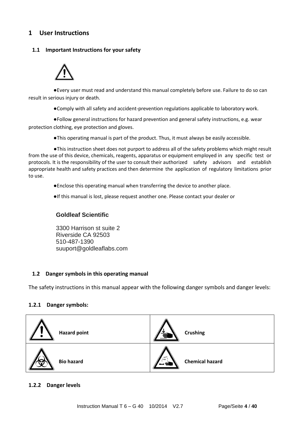## <span id="page-4-0"></span>**1 User Instructions**

#### <span id="page-4-1"></span>**1.1 Important Instructions for your safety**



 ● Every user must read and understand this manual completely before use. Failure to do so can result in serious injury or death.

● Comply with all safety and accident-prevention regulations applicable to laboratory work.

 ● Follow general instructions for hazard prevention and general safety instructions, e.g. wear protection clothing, eye protection and gloves.

● This operating manual is part of the product. Thus, it must always be easily accessible.

●This instruction sheet does not purport to address all of the safety problems which might result from the use of this device, chemicals, reagents, apparatus or equipment employed in any specific test or protocols. It is the responsibility of the user to consult their authorized safety advisors and establish appropriate health and safety practices and then determine the application of regulatory limitations prior to use.

● Enclose this operating manual when transferring the device to another place.

● If this manual is lost, please request another one. Please contact your dealer or

## **Goldleaf Scientific**

3300 Harrison st suite 2 Riverside CA 92503 510-487-1390 suuport@goldleaflabs.com

#### <span id="page-4-2"></span>**1.2 Danger symbols in this operating manual**

The safety instructions in this manual appear with the following danger symbols and danger levels:

#### <span id="page-4-3"></span>**1.2.1 Danger symbols:**



#### <span id="page-4-4"></span>**1.2.2 Danger levels**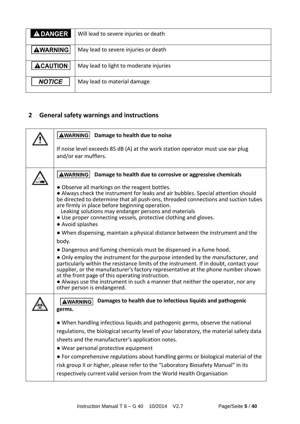| <b>ADANGER</b>  | Will lead to severe injuries or death  |
|-----------------|----------------------------------------|
| <b>AWARNING</b> | May lead to severe injuries or death   |
| <b>ACAUTION</b> | May lead to light to moderate injuries |
| <b>NOTICE</b>   | May lead to material damage            |

# <span id="page-5-0"></span>**2 General safety warnings and instructions**

| <b>AWARNING</b><br>Damage to health due to noise                                                                                                                                                                                                                                                                                                                                                                                                                                                                         |  |  |  |  |  |
|--------------------------------------------------------------------------------------------------------------------------------------------------------------------------------------------------------------------------------------------------------------------------------------------------------------------------------------------------------------------------------------------------------------------------------------------------------------------------------------------------------------------------|--|--|--|--|--|
| If noise level exceeds 85 dB (A) at the work station operator must use ear plug<br>and/or ear mufflers.                                                                                                                                                                                                                                                                                                                                                                                                                  |  |  |  |  |  |
| <b>AWARNING</b><br>Damage to health due to corrosive or aggressive chemicals<br>• Observe all markings on the reagent bottles.<br>• Always check the instrument for leaks and air bubbles. Special attention should<br>be directed to determine that all push-ons, threaded connections and suction tubes<br>are firmly in place before beginning operation.<br>Leaking solutions may endanger persons and materials                                                                                                     |  |  |  |  |  |
| • Use proper connecting vessels, protective clothing and gloves.<br>• Avoid splashes                                                                                                                                                                                                                                                                                                                                                                                                                                     |  |  |  |  |  |
| • When dispensing, maintain a physical distance between the instrument and the                                                                                                                                                                                                                                                                                                                                                                                                                                           |  |  |  |  |  |
| body.                                                                                                                                                                                                                                                                                                                                                                                                                                                                                                                    |  |  |  |  |  |
| • Dangerous and fuming chemicals must be dispensed in a fume hood.<br>. Only employ the instrument for the purpose intended by the manufacturer, and<br>particularly within the resistance limits of the instrument. If in doubt, contact your<br>supplier, or the manufacturer's factory representative at the phone number shown<br>at the front page of this operating instruction.<br>• Always use the instrument in such a manner that neither the operator, nor any<br>other person is endangered.                 |  |  |  |  |  |
| Damages to health due to infectious liquids and pathogenic<br><b>AWARNING</b><br>germs.                                                                                                                                                                                                                                                                                                                                                                                                                                  |  |  |  |  |  |
| • When handling infectious liquids and pathogenic germs, observe the national<br>regulations, the biological security level of your laboratory, the material safety data<br>sheets and the manufacturer's application notes.<br>· Wear personal protective equipment<br>• For comprehensive regulations about handling germs or biological material of the<br>risk group II or higher, please refer to the "Laboratory Biosafety Manual" in its<br>respectively current valid version from the World Health Organisation |  |  |  |  |  |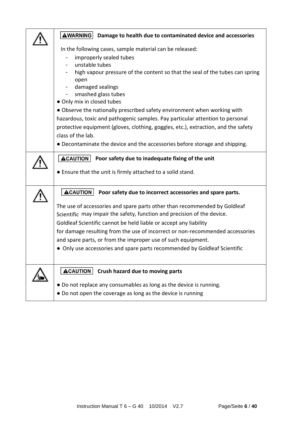| <b>AWARNING</b><br>Damage to health due to contaminated device and accessories                                                                                                                                                                                                                                                                                                                                                                                                                                                                                                                                                |  |  |  |
|-------------------------------------------------------------------------------------------------------------------------------------------------------------------------------------------------------------------------------------------------------------------------------------------------------------------------------------------------------------------------------------------------------------------------------------------------------------------------------------------------------------------------------------------------------------------------------------------------------------------------------|--|--|--|
| In the following cases, sample material can be released:<br>improperly sealed tubes<br>unstable tubes<br>high vapour pressure of the content so that the seal of the tubes can spring<br>open<br>damaged sealings<br>smashed glass tubes<br>• Only mix in closed tubes<br>. Observe the nationally prescribed safety environment when working with<br>hazardous, toxic and pathogenic samples. Pay particular attention to personal<br>protective equipment (gloves, clothing, goggles, etc.), extraction, and the safety<br>class of the lab.<br>• Decontaminate the device and the accessories before storage and shipping. |  |  |  |
| <b>ACAUTION</b><br>Poor safety due to inadequate fixing of the unit<br>• Ensure that the unit is firmly attached to a solid stand.                                                                                                                                                                                                                                                                                                                                                                                                                                                                                            |  |  |  |
| <b>ACAUTION</b><br>Poor safety due to incorrect accessories and spare parts.<br>The use of accessories and spare parts other than recommended by Goldleaf<br>Scientific may impair the safety, function and precision of the device.<br>Goldleaf Scientific cannot be held liable or accept any liability<br>for damage resulting from the use of incorrect or non-recommended accessories<br>and spare parts, or from the improper use of such equipment.<br>• Only use accessories and spare parts recommended by Goldleaf Scientific                                                                                       |  |  |  |
| <b>ACAUTION</b> Crush hazard due to moving parts<br>• Do not replace any consumables as long as the device is running.<br>• Do not open the coverage as long as the device is running                                                                                                                                                                                                                                                                                                                                                                                                                                         |  |  |  |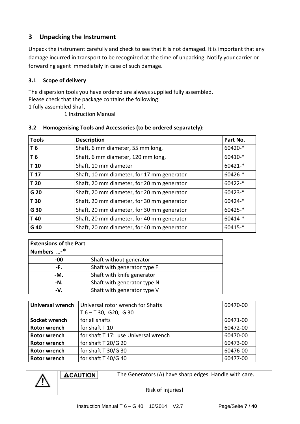## <span id="page-7-0"></span>**3 Unpacking the Instrument**

Unpack the instrument carefully and check to see that it is not damaged. It is important that any damage incurred in transport to be recognized at the time of unpacking. Notify your carrier or forwarding agent immediately in case of such damage.

## <span id="page-7-1"></span>**3.1 Scope of delivery**

The dispersion tools you have ordered are always supplied fully assembled. Please check that the package contains the following: 1 fully assembled Shaft

1 Instruction Manual

| <b>Tools</b>    | <b>Description</b>                         | Part No.    |
|-----------------|--------------------------------------------|-------------|
| T 6             | Shaft, 6 mm diameter, 55 mm long,          | 60420-*     |
| T 6             | Shaft, 6 mm diameter, 120 mm long,         | $60410-$ *  |
| T <sub>10</sub> | Shaft, 10 mm diameter                      | $60421 -$ * |
| T <sub>17</sub> | Shaft, 10 mm diameter, for 17 mm generator | $60426 -$ * |
| T <sub>20</sub> | Shaft, 20 mm diameter, for 20 mm generator | $60422 -$ * |
| G 20            | Shaft, 20 mm diameter, for 20 mm generator | $60423 -$ * |
| T 30            | Shaft, 20 mm diameter, for 30 mm generator | 60424-*     |
| G 30            | Shaft, 20 mm diameter, for 30 mm generator | $60425 -$ * |
| T 40            | Shaft, 20 mm diameter, for 40 mm generator | 60414-*     |
| G 40            | Shaft, 20 mm diameter, for 40 mm generator | 60415-*     |

#### <span id="page-7-2"></span>**3.2 Homogenising Tools and Accessories (to be ordered separately):**

| <b>Extensions of the Part</b> |                             |
|-------------------------------|-----------------------------|
| Numbers -*                    |                             |
| -00                           | Shaft without generator     |
| -F.                           | Shaft with generator type F |
| -M.                           | Shaft with knife generator  |
| -N.                           | Shaft with generator type N |
| $-V1$                         | Shaft with generator type V |

| <b>Universal wrench</b> | Universal rotor wrench for Shafts    | 60470-00 |
|-------------------------|--------------------------------------|----------|
|                         | $T6 - T30$ , G20, G30                |          |
| Socket wrench           | for all shafts                       | 60471-00 |
| <b>Rotor wrench</b>     | for shaft T 10                       | 60472-00 |
| <b>Rotor wrench</b>     | for shaft T 17: use Universal wrench | 60470-00 |
| <b>Rotor wrench</b>     | for shaft $T$ 20/G 20                | 60473-00 |
| <b>Rotor wrench</b>     | for shaft $T$ 30/G 30                | 60476-00 |
| <b>Rotor wrench</b>     | for shaft $T$ 40/G 40                | 60477-00 |

**ACAUTION** 

The Generators (A) have sharp edges. Handle with care.

Risk of injuries!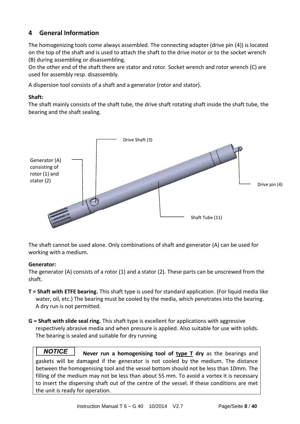# <span id="page-8-0"></span>**4 General Information**

The homogenizing tools come always assembled. The connecting adapter (drive pin (4)) is located on the top of the shaft and is used to attach the shaft to the drive motor or to the socket wrench (B) during assembling or disassembling.

On the other end of the shaft there are stator and rotor. Socket wrench and rotor wrench (C) are used for assembly resp. disassembly.

A dispersion tool consists of a shaft and a generator (rotor and stator).

## **Shaft:**

The shaft mainly consists of the shaft tube, the drive shaft rotating shaft inside the shaft tube, the bearing and the shaft sealing.



The shaft cannot be used alone. Only combinations of shaft and generator (A) can be used for working with a medium.

### **Generator:**

The generator (A) consists of a rotor (1) and a stator (2). These parts can be unscrewed from the shaft.

- **T = Shaft with ETFE bearing.** This shaft type is used for standard application. (For liquid media like water, oil, etc.) The bearing must be cooled by the media, which penetrates into the bearing. A dry run is not permitted.
- **G = Shaft with slide seal ring.** This shaft type is excellent for applications with aggressive respectively abrasive media and when pressure is applied. Also suitable for use with solids. The bearing is sealed and suitable for dry running

**NOTICE Never run a homogenising tool of type T dry** as the bearings and gaskets will be damaged if the generator is not cooled by the medium. The distance between the homogenising tool and the vessel bottom should not be less than 10mm. The filling of the medium may not be less than about 55 mm. To avoid a vortex it is necessary to insert the dispersing shaft out of the centre of the vessel. If these conditions are met the unit is ready for operation.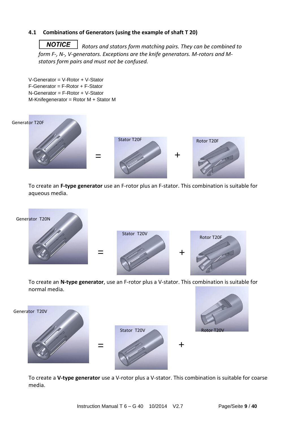#### <span id="page-9-0"></span>**4.1 Combinations of Generators (using the example of shaft T 20)**

 *Rotors and stators form matching pairs. They can be combined to form F-, N-, V-generators. Exceptions are the knife generators. M-rotors and Mstators form pairs and must not be confused.*

V-Generator = V-Rotor + V-Stator F-Generator = F-Rotor + F-Stator N-Generator = F-Rotor + V-Stator M-Knifegenerator = Rotor M + Stator M



To create an **F-type generator** use an F-rotor plus an F-stator. This combination is suitable for aqueous media.



To create an **N-type generator**, use an F-rotor plus a V-stator. This combination is suitable for normal media.



To create a **V-type generator** use a V-rotor plus a V-stator. This combination is suitable for coarse media.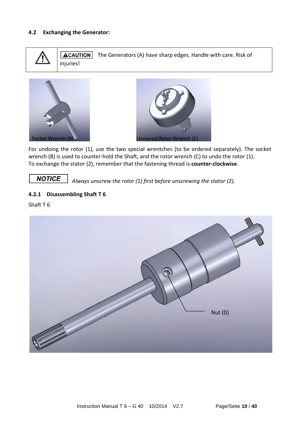#### <span id="page-10-0"></span>**4.2 Exchanging the Generator:**







For undoing the rotor (1), use the two special wrentches (to be ordered separately). The socket wrench (B) is used to counter-hold the Shaft, and the rotor wrench (C) to undo the rotor (1). To exchange the stator (2), remember that the fastening thread is **counter-clockwise**.

**NOTICE** 

 *Always unscrew the rotor (1) first before unscrewing the stator (2).* 

#### <span id="page-10-1"></span>**4.2.1 Disassembling Shaft T 6**

Shaft T 6

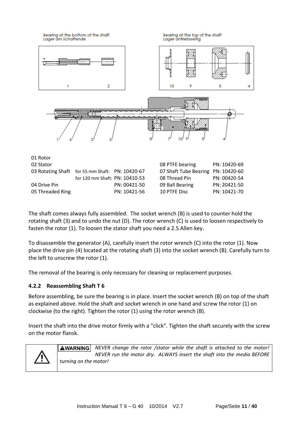

The shaft comes always fully assembled. The socket wrench (B) is used to counter hold the rotating shaft (3) and to undo the nut (D). The rotor wrench (C) is used to loosen respectively to fasten the rotor (1). To loosen the stator shaft you need a 2.5 Allen key.

To disassemble the generator (A), carefully insert the rotor wrench (C) into the rotor (1). Now place the drive pin (4) located at the rotating shaft (3) into the socket wrench (B). Carefully turn to the left to unscrew the rotor (1).

The removal of the bearing is only necessary for cleaning or replacement purposes.

### <span id="page-11-0"></span>**4.2.2 Reassembling Shaft T 6**

Before assembling, be sure the bearing is in place. Insert the socket wrench (B) on top of the shaft as explained above. Hold the shaft and socket wrench in one hand and screw the rotor (1) on clockwise (to the right). Tighten the rotor (1) using the rotor wrench (B).

Insert the shaft into the drive motor firmly with a "click". Tighten the shaft securely with the screw on the motor flansk.



*NEVER change the rotor /stator while the shaft is attached to the motor!*  **AWARNING** *NEVER run the motor dry. ALWAYS insert the shaft into the media BEFORE turning on the motor!*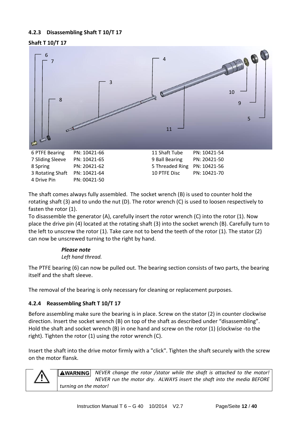## <span id="page-12-0"></span>**4.2.3 Disassembling Shaft T 10/T 17**





The shaft comes always fully assembled. The socket wrench (B) is used to counter hold the rotating shaft (3) and to undo the nut (D). The rotor wrench (C) is used to loosen respectively to fasten the rotor (1).

To disassemble the generator (A), carefully insert the rotor wrench (C) into the rotor (1). Now place the drive pin (4) located at the rotating shaft (3) into the socket wrench (B). Carefully turn to the left to unscrew the rotor (1). Take care not to bend the teeth of the rotor (1). The stator (2) can now be unscrewed turning to the right by hand.

## *Please note Left hand thread.*

The PTFE bearing (6) can now be pulled out. The bearing section consists of two parts, the bearing itself and the shaft sleeve.

The removal of the bearing is only necessary for cleaning or replacement purposes.

## <span id="page-12-1"></span>**4.2.4 Reassembling Shaft T 10/T 17**

Before assembling make sure the bearing is in place. Screw on the stator (2) in counter clockwise direction. Insert the socket wrench (B) on top of the shaft as described under "disassembling". Hold the shaft and socket wrench (B) in one hand and screw on the rotor (1) (clockwise -to the right). Tighten the rotor (1) using the rotor wrench (C).

Insert the shaft into the drive motor firmly with a "click". Tighten the shaft securely with the screw on the motor flansk.



**AWARNING** *NEVER change the rotor /stator while the shaft is attached to the motor! NEVER run the motor dry. ALWAYS insert the shaft into the media BEFORE turning on the motor!*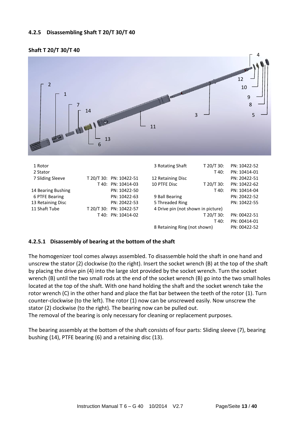#### <span id="page-13-0"></span>**4.2.5 Disassembling Shaft T 20/T 30/T 40**



#### **Shaft T 20/T 30/T 40**

#### **4.2.5.1 Disassembly of bearing at the bottom of the shaft**

T 40: PN: 10414-02

13 Retaining Disc PN: 20422-53 11 Shaft Tube T 20/T 30: PN: 10422-57

The homogenizer tool comes always assembled. To disassemble hold the shaft in one hand and unscrew the stator (2) clockwise (to the right). Insert the socket wrench (B) at the top of the shaft by placing the drive pin (4) into the large slot provided by the socket wrench. Turn the socket wrench (B) until the two small rods at the end of the socket wrench (B) go into the two small holes located at the top of the shaft. With one hand holding the shaft and the socket wrench take the rotor wrench (C) in the other hand and place the flat bar between the teeth of the rotor (1). Turn counter-clockwise (to the left). The rotor (1) now can be unscrewed easily. Now unscrew the stator (2) clockwise (to the right). The bearing now can be pulled out.

The removal of the bearing is only necessary for cleaning or replacement purposes.

The bearing assembly at the bottom of the shaft consists of four parts: Sliding sleeve (7), bearing bushing (14), PTFE bearing (6) and a retaining disc (13).

5 Threaded Ring PN: 10422-55

8 Retaining Ring (not shown) PN: 00422-52

T 20/T 30: PN: 00422-51 T 40: PN: 00414-01

4 Drive pin (not shown in picture)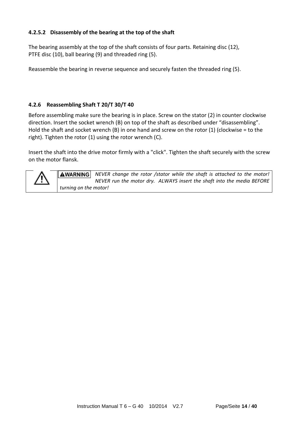#### **4.2.5.2 Disassembly of the bearing at the top of the shaft**

The bearing assembly at the top of the shaft consists of four parts. Retaining disc (12), PTFE disc (10), ball bearing (9) and threaded ring (5).

Reassemble the bearing in reverse sequence and securely fasten the threaded ring (5).

#### <span id="page-14-0"></span>**4.2.6 Reassembling Shaft T 20/T 30/T 40**

Before assembling make sure the bearing is in place. Screw on the stator (2) in counter clockwise direction. Insert the socket wrench (B) on top of the shaft as described under "disassembling". Hold the shaft and socket wrench (B) in one hand and screw on the rotor (1) (clockwise = to the right). Tighten the rotor (1) using the rotor wrench (C).

Insert the shaft into the drive motor firmly with a "click". Tighten the shaft securely with the screw on the motor flansk.

|             |                       | <b>AWARNING</b> NEVER change the rotor /stator while the shaft is attached to the motor! |
|-------------|-----------------------|------------------------------------------------------------------------------------------|
| $\bigwedge$ |                       | NEVER run the motor dry. ALWAYS insert the shaft into the media BEFORE                   |
|             | turning on the motor! |                                                                                          |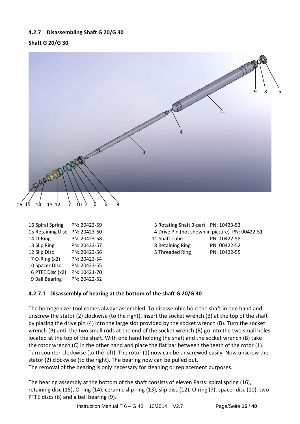## <span id="page-15-0"></span>**4.2.7 Disassembling Shaft G 20/G 30**

**Shaft G 20/G 30** 



| 16 Spiral Spring  | PN: 20423-59 |
|-------------------|--------------|
| 15 Retaining Disc | PN: 20423-60 |
| 14 O-Ring         | PN: 20423-58 |
| 13 Slip Ring      | PN: 20423-57 |
| 12 Slip Disc      | PN: 20423-56 |
| 7 O-Ring (x2)     | PN: 20423-54 |
| 10 Spacer Disc    | PN: 20423-55 |
| 6 PTFE Disc (x2)  | PN: 10421-70 |
| 9 Ball Bearing    | PN: 20422-52 |
|                   |              |

 3 Rotating Shaft 3-part PN: 10423-53 4 Drive Pin (not shown in picture) PN: 00422-51 11 Shaft Tube PN: 10422-58 8 Retaining Ring PN: 00422-52 5 Threaded Ring PN: 10422-55

## **4.2.7.1 Disassembly of bearing at the bottom of the shaft G 20/G 30**

The homogenizer tool comes always assembled. To disassemble hold the shaft in one hand and unscrew the stator (2) clockwise (to the right). Insert the socket wrench (B) at the top of the shaft by placing the drive pin (4) into the large slot provided by the socket wrench (B). Turn the socket wrench (B) until the two small rods at the end of the socket wrench (B) go into the two small holes located at the top of the shaft. With one hand holding the shaft and the socket wrench (B) take the rotor wrench (C) in the other hand and place the flat bar between the teeth of the rotor (1). Turn counter-clockwise (to the left). The rotor (1) now can be unscrewed easily. Now unscrew the stator (2) clockwise (to the right). The bearing now can be pulled out.

The removal of the bearing is only necessary for cleaning or replacement purposes.

The bearing assembly at the bottom of the shaft consists of eleven Parts: spiral spring (16), retaining disc (15), O-ring (14), ceramic slip ring (13), slip disc (12), O-ring (7), spacer disc (10), two PTFE discs (6) and a ball bearing (9).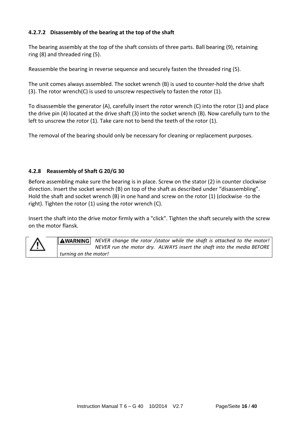## **4.2.7.2 Disassembly of the bearing at the top of the shaft**

The bearing assembly at the top of the shaft consists of three parts. Ball bearing (9), retaining ring (8) and threaded ring (5).

Reassemble the bearing in reverse sequence and securely fasten the threaded ring (5).

The unit comes always assembled. The socket wrench (B) is used to counter-hold the drive shaft (3). The rotor wrench(C) is used to unscrew respectively to fasten the rotor  $(1)$ .

To disassemble the generator (A), carefully insert the rotor wrench (C) into the rotor (1) and place the drive pin (4) located at the drive shaft (3) into the socket wrench (B). Now carefully turn to the left to unscrew the rotor (1). Take care not to bend the teeth of the rotor (1).

The removal of the bearing should only be necessary for cleaning or replacement purposes.

### <span id="page-16-0"></span>**4.2.8 Reassembly of Shaft G 20/G 30**

Before assembling make sure the bearing is in place. Screw on the stator (2) in counter clockwise direction. Insert the socket wrench (B) on top of the shaft as described under "disassembling". Hold the shaft and socket wrench (B) in one hand and screw on the rotor (1) (clockwise -to the right). Tighten the rotor (1) using the rotor wrench (C).

Insert the shaft into the drive motor firmly with a "click". Tighten the shaft securely with the screw on the motor flansk.



*NEVER change the rotor /stator while the shaft is attached to the motor! NEVER run the motor dry. ALWAYS insert the shaft into the media BEFORE turning on the motor!*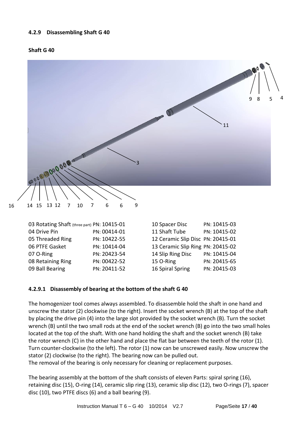#### <span id="page-17-0"></span>**4.2.9 Disassembling Shaft G 40**





| 03 Rotating Shaft (three part) PN: 10415-01 |              | 10 Spacer Disc                    | PN: 10415-03 |
|---------------------------------------------|--------------|-----------------------------------|--------------|
| 04 Drive Pin                                | PN: 00414-01 | 11 Shaft Tube                     | PN: 10415-02 |
| 05 Threaded Ring                            | PN: 10422-55 | 12 Ceramic Slip Disc PN: 20415-01 |              |
| 06 PTFE Gasket                              | PN: 10414-04 | 13 Ceramic Slip Ring PN: 20415-02 |              |
| 07 O-Ring                                   | PN: 20423-54 | 14 Slip Ring Disc                 | PN: 10415-04 |
| 08 Retaining Ring                           | PN: 00422-52 | 15 O-Ring                         | PN: 20415-65 |
| 09 Ball Bearing                             | PN: 20411-52 | 16 Spiral Spring                  | PN: 20415-03 |

### **4.2.9.1 Disassembly of bearing at the bottom of the shaft G 40**

The homogenizer tool comes always assembled. To disassemble hold the shaft in one hand and unscrew the stator (2) clockwise (to the right). Insert the socket wrench (B) at the top of the shaft by placing the drive pin (4) into the large slot provided by the socket wrench (B). Turn the socket wrench (B) until the two small rods at the end of the socket wrench (B) go into the two small holes located at the top of the shaft. With one hand holding the shaft and the socket wrench (B) take the rotor wrench (C) in the other hand and place the flat bar between the teeth of the rotor (1). Turn counter-clockwise (to the left). The rotor (1) now can be unscrewed easily. Now unscrew the stator (2) clockwise (to the right). The bearing now can be pulled out.

The removal of the bearing is only necessary for cleaning or replacement purposes.

The bearing assembly at the bottom of the shaft consists of eleven Parts: spiral spring (16), retaining disc (15), O-ring (14), ceramic slip ring (13), ceramic slip disc (12), two O-rings (7), spacer disc (10), two PTFE discs (6) and a ball bearing (9).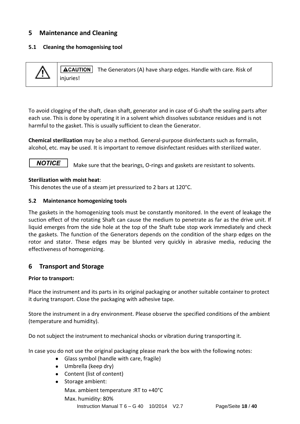## <span id="page-18-0"></span>**5 Maintenance and Cleaning**

## <span id="page-18-1"></span>**5.1 Cleaning the homogenising tool**



**ACAUTION** The Generators (A) have sharp edges. Handle with care. Risk of injuries!

To avoid clogging of the shaft, clean shaft, generator and in case of G-shaft the sealing parts after each use. This is done by operating it in a solvent which dissolves substance residues and is not harmful to the gasket. This is usually sufficient to clean the Generator.

**Chemical sterilization** may be also a method. General-purpose disinfectants such as formalin, alcohol, etc. may be used. It is important to remove disinfectant residues with sterilized water.

**NOTICE** Make sure that the bearings, O-rings and gaskets are resistant to solvents.

#### **Sterilization with moist heat**:

This denotes the use of a steam jet pressurized to 2 bars at 120°C.

#### <span id="page-18-2"></span>**5.2 Maintenance homogenizing tools**

The gaskets in the homogenizing tools must be constantly monitored. In the event of leakage the suction effect of the rotating Shaft can cause the medium to penetrate as far as the drive unit. If liquid emerges from the side hole at the top of the Shaft tube stop work immediately and check the gaskets. The function of the Generators depends on the condition of the sharp edges on the rotor and stator. These edges may be blunted very quickly in abrasive media, reducing the effectiveness of homogenizing.

## <span id="page-18-3"></span>**6 Transport and Storage**

#### **Prior to transport:**

Place the instrument and its parts in its original packaging or another suitable container to protect it during transport. Close the packaging with adhesive tape.

Store the instrument in a dry environment. Please observe the specified conditions of the ambient (temperature and humidity).

Do not subject the instrument to mechanical shocks or vibration during transporting it.

In case you do not use the original packaging please mark the box with the following notes:

- Glass symbol (handle with care, fragile)
- Umbrella (keep dry)
- Content (list of content)
	- Instruction Manual T 6 G 40 10/2014 V2.7 Page/Seite **18** / **40** Storage ambient: Max. ambient temperature :RT to +40°C Max. humidity: 80%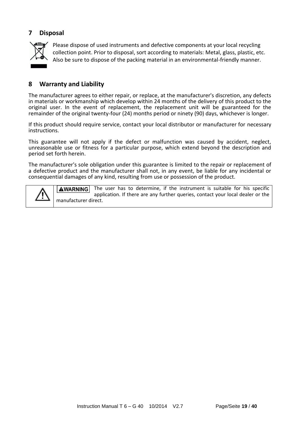## <span id="page-19-0"></span>**7 Disposal**



Please dispose of used instruments and defective components at your local recycling collection point. Prior to disposal, sort according to materials: Metal, glass, plastic, etc. Also be sure to dispose of the packing material in an environmental-friendly manner.

## <span id="page-19-1"></span>**8 Warranty and Liability**

The manufacturer agrees to either repair, or replace, at the manufacturer's discretion, any defects in materials or workmanship which develop within 24 months of the delivery of this product to the original user. In the event of replacement, the replacement unit will be guaranteed for the remainder of the original twenty-four (24) months period or ninety (90) days, whichever is longer.

If this product should require service, contact your local distributor or manufacturer for necessary instructions.

This guarantee will not apply if the defect or malfunction was caused by accident, neglect, unreasonable use or fitness for a particular purpose, which extend beyond the description and period set forth herein.

The manufacturer's sole obligation under this guarantee is limited to the repair or replacement of a defective product and the manufacturer shall not, in any event, be liable for any incidental or consequential damages of any kind, resulting from use or possession of the product.

<span id="page-19-2"></span>

The user has to determine, if the instrument is suitable for his specific **AWARNING** application. If there are any further queries, contact your local dealer or the manufacturer direct.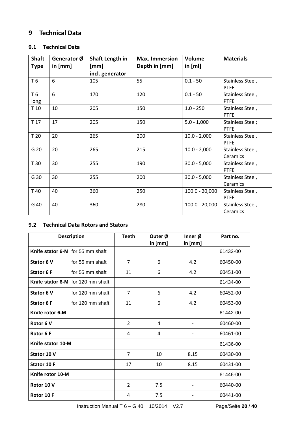# **9 Technical Data**

## <span id="page-20-0"></span>**9.1 Technical Data**

| <b>Shaft</b><br><b>Type</b> | Generator Ø<br>in [mm] | Shaft Length in<br>[mm]<br>incl. generator | <b>Max. Immersion</b><br>Depth in [mm] | Volume<br>in $[m]$ | <b>Materials</b>                |
|-----------------------------|------------------------|--------------------------------------------|----------------------------------------|--------------------|---------------------------------|
| T6                          | 6                      | 105                                        | 55                                     | $0.1 - 50$         | Stainless Steel,<br><b>PTFE</b> |
| T 6<br>long                 | 6                      | 170                                        | 120                                    | $0.1 - 50$         | Stainless Steel,<br><b>PTFE</b> |
| T 10                        | 10                     | 205                                        | 150                                    | $1.0 - 250$        | Stainless Steel,<br><b>PTFE</b> |
| T 17                        | 17                     | 205                                        | 150                                    | $5.0 - 1,000$      | Stainless Steel;<br><b>PTFE</b> |
| T 20                        | 20                     | 265                                        | 200                                    | $10.0 - 2,000$     | Stainless Steel,<br><b>PTFE</b> |
| G 20                        | 20                     | 265                                        | 215                                    | $10.0 - 2,000$     | Stainless Steel,<br>Ceramics    |
| T 30                        | 30                     | 255                                        | 190                                    | $30.0 - 5,000$     | Stainless Steel,<br><b>PTFE</b> |
| G 30                        | 30                     | 255                                        | 200                                    | $30.0 - 5,000$     | Stainless Steel,<br>Ceramics    |
| T 40                        | 40                     | 360                                        | 250                                    | $100.0 - 20,000$   | Stainless Steel,<br><b>PTFE</b> |
| G 40                        | 40                     | 360                                        | 280                                    | $100.0 - 20,000$   | Stainless Steel,<br>Ceramics    |

## <span id="page-20-1"></span>**9.2 Technical Data Rotors and Stators**

| <b>Description</b>                | <b>Teeth</b>   | Outer Ø<br>in [mm] | Inner Ø<br>in $[mm]$ | Part no. |
|-----------------------------------|----------------|--------------------|----------------------|----------|
| Knife stator 6-M for 55 mm shaft  |                |                    |                      | 61432-00 |
| Stator 6 V<br>for 55 mm shaft     | 7              | 6                  | 4.2                  | 60450-00 |
| Stator 6 F<br>for 55 mm shaft     | 11             | 6                  | 4.2                  | 60451-00 |
| Knife stator 6-M for 120 mm shaft |                |                    |                      | 61434-00 |
| Stator 6 V<br>for 120 mm shaft    | $\overline{7}$ | 6                  | 4.2                  | 60452-00 |
| Stator 6 F<br>for 120 mm shaft    | 11             | 6                  | 4.2                  | 60453-00 |
| Knife rotor 6-M                   |                |                    |                      | 61442-00 |
| Rotor 6 V                         | 2              | 4                  |                      | 60460-00 |
| Rotor 6 F                         | 4              | 4                  |                      | 60461-00 |
| Knife stator 10-M                 |                |                    |                      | 61436-00 |
| Stator 10 V                       | $\overline{7}$ | 10                 | 8.15                 | 60430-00 |
| <b>Stator 10 F</b>                | 17             | 10                 | 8.15                 | 60431-00 |
| Knife rotor 10-M                  |                |                    |                      | 61446-00 |
| Rotor 10 V                        | $\overline{2}$ | 7.5                |                      | 60440-00 |
| Rotor 10F                         | 4              | 7.5                |                      | 60441-00 |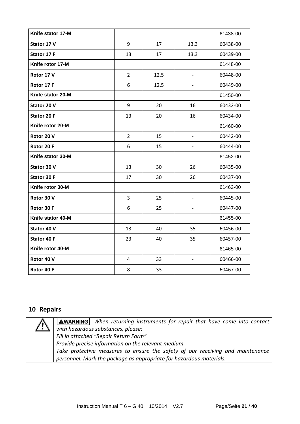| Knife stator 17-M  |                |      |                          | 61438-00 |
|--------------------|----------------|------|--------------------------|----------|
| Stator 17 V        | 9              | 17   | 13.3                     | 60438-00 |
| Stator 17 F        | 13             | 17   | 13.3                     | 60439-00 |
| Knife rotor 17-M   |                |      |                          | 61448-00 |
| Rotor 17 V         | $\overline{2}$ | 12.5 | $\overline{\phantom{0}}$ | 60448-00 |
| Rotor 17 F         | 6              | 12.5 |                          | 60449-00 |
| Knife stator 20-M  |                |      |                          | 61450-00 |
| Stator 20 V        | 9              | 20   | 16                       | 60432-00 |
| <b>Stator 20 F</b> | 13             | 20   | 16                       | 60434-00 |
| Knife rotor 20-M   |                |      |                          | 61460-00 |
| Rotor 20 V         | $\overline{2}$ | 15   | $\overline{\phantom{a}}$ | 60442-00 |
| Rotor 20 F         | 6              | 15   |                          | 60444-00 |
| Knife stator 30-M  |                |      |                          | 61452-00 |
| Stator 30 V        | 13             | 30   | 26                       | 60435-00 |
| Stator 30 F        | 17             | 30   | 26                       | 60437-00 |
| Knife rotor 30-M   |                |      |                          | 61462-00 |
| Rotor 30 V         | 3              | 25   |                          | 60445-00 |
| Rotor 30 F         | 6              | 25   | $\overline{\phantom{a}}$ | 60447-00 |
| Knife stator 40-M  |                |      |                          | 61455-00 |
| Stator 40 V        | 13             | 40   | 35                       | 60456-00 |
| Stator 40 F        | 23             | 40   | 35                       | 60457-00 |
| Knife rotor 40-M   |                |      |                          | 61465-00 |
| Rotor 40 V         | 4              | 33   | $\overline{\phantom{0}}$ | 60466-00 |
| Rotor 40F          | 8              | 33   |                          | 60467-00 |

## <span id="page-21-0"></span>**10 Repairs**

*When returning instruments for repair that have come into contact with hazardous substances, please: Fill in attached "Repair Return Form" Provide precise information on the relevant medium Take protective measures to ensure the safety of our receiving and maintenance personnel. Mark the package as appropriate for hazardous materials.*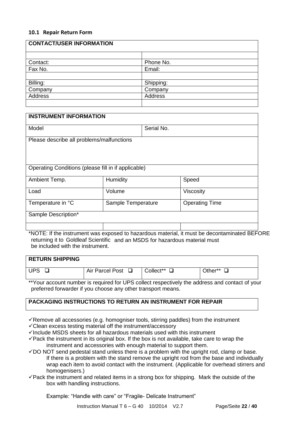#### <span id="page-22-0"></span>**10.1 Repair Return Form**

| <b>CONTACT/USER INFORMATION</b> |                |  |  |  |
|---------------------------------|----------------|--|--|--|
|                                 |                |  |  |  |
| Contact:                        | Phone No.      |  |  |  |
| Fax No.                         | Email:         |  |  |  |
|                                 |                |  |  |  |
| Billing:                        | Shipping:      |  |  |  |
| Company                         | Company        |  |  |  |
| <b>Address</b>                  | <b>Address</b> |  |  |  |
|                                 |                |  |  |  |

| <b>INSTRUMENT INFORMATION</b>                       |                    |            |                       |  |  |  |
|-----------------------------------------------------|--------------------|------------|-----------------------|--|--|--|
| Model                                               |                    | Serial No. |                       |  |  |  |
| Please describe all problems/malfunctions           |                    |            |                       |  |  |  |
| Operating Conditions (please fill in if applicable) |                    |            |                       |  |  |  |
| Ambient Temp.                                       | Humidity           |            | Speed                 |  |  |  |
| Load                                                | Volume             |            | Viscosity             |  |  |  |
| Temperature in °C                                   | Sample Temperature |            | <b>Operating Time</b> |  |  |  |
| Sample Description*                                 |                    |            |                       |  |  |  |
|                                                     |                    |            |                       |  |  |  |

\*NOTE: If the instrument was exposed to hazardous material, it must be decontaminated BEFORE returning it to Goldleaf Scientific and an MSDS for hazardous material must be included with the instrument.

| <b>RETURN SHIPPING</b> |                        |                       |         |
|------------------------|------------------------|-----------------------|---------|
| <b>UPS</b>             | Air Parcel Post $\Box$ | Collect <sup>**</sup> | Other** |

\*\*Your account number is required for UPS collect respectively the address and contact of your preferred forwarder if you choose any other transport means.

## **PACKAGING INSTRUCTIONS TO RETURN AN INSTRUMENT FOR REPAIR**

 $\checkmark$ Remove all accessories (e.g. homogniser tools, stirring paddles) from the instrument

 $\checkmark$ Clean excess testing material off the instrument/accessory

 $\checkmark$  Include MSDS sheets for all hazardous materials used with this instrument

- $\checkmark$  Pack the instrument in its original box. If the box is not available, take care to wrap the instrument and accessories with enough material to support them.
- $\checkmark$ DO NOT send pedestal stand unless there is a problem with the upright rod, clamp or base. If there is a problem with the stand remove the upright rod from the base and individually wrap each item to avoid contact with the instrument. (Applicable for overhead stirrers and homogenisers.)
- $\checkmark$  Pack the instrument and related items in a strong box for shipping. Mark the outside of the box with handling instructions.

Example: "Handle with care" or "Fragile- Delicate Instrument"